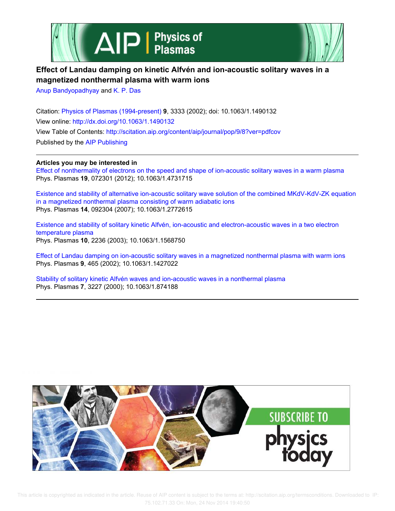



## **Effect of Landau damping on kinetic Alfvén and ion-acoustic solitary waves in a magnetized nonthermal plasma with warm ions**

Anup Bandyopadhyay and K. P. Das

Citation: Physics of Plasmas (1994-present) **9**, 3333 (2002); doi: 10.1063/1.1490132 View online: http://dx.doi.org/10.1063/1.1490132 View Table of Contents: http://scitation.aip.org/content/aip/journal/pop/9/8?ver=pdfcov Published by the AIP Publishing

## **Articles you may be interested in**

Effect of nonthermality of electrons on the speed and shape of ion-acoustic solitary waves in a warm plasma Phys. Plasmas **19**, 072301 (2012); 10.1063/1.4731715

Existence and stability of alternative ion-acoustic solitary wave solution of the combined MKdV-KdV-ZK equation in a magnetized nonthermal plasma consisting of warm adiabatic ions Phys. Plasmas **14**, 092304 (2007); 10.1063/1.2772615

Existence and stability of solitary kinetic Alfvén, ion-acoustic and electron-acoustic waves in a two electron temperature plasma Phys. Plasmas **10**, 2236 (2003); 10.1063/1.1568750

Effect of Landau damping on ion-acoustic solitary waves in a magnetized nonthermal plasma with warm ions Phys. Plasmas **9**, 465 (2002); 10.1063/1.1427022

Stability of solitary kinetic Alfvén waves and ion-acoustic waves in a nonthermal plasma Phys. Plasmas **7**, 3227 (2000); 10.1063/1.874188

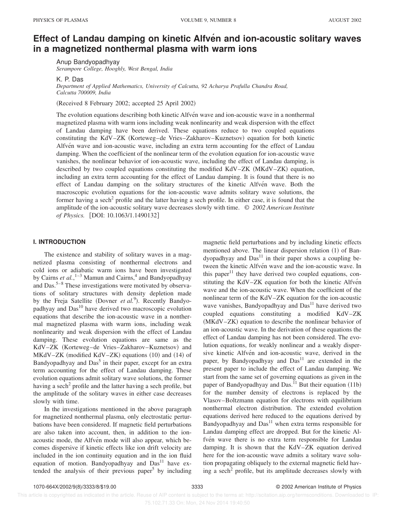# **Effect of Landau damping on kinetic Alfven and ion-acoustic solitary waves in a magnetized nonthermal plasma with warm ions**

Anup Bandyopadhyay *Serampore College, Hooghly, West Bengal, India*

K. P. Das

*Department of Applied Mathematics, University of Calcutta, 92 Acharya Prafulla Chandra Road, Calcutta 700009, India*

(Received 8 February 2002; accepted 25 April 2002)

The evolution equations describing both kinetic Alfven wave and ion-acoustic wave in a nonthermal magnetized plasma with warm ions including weak nonlinearity and weak dispersion with the effect of Landau damping have been derived. These equations reduce to two coupled equations constituting the KdV–ZK (Korteweg–de Vries–Zakharov–Kuznetsov) equation for both kinetic Alfvén wave and ion-acoustic wave, including an extra term accounting for the effect of Landau damping. When the coefficient of the nonlinear term of the evolution equation for ion-acoustic wave vanishes, the nonlinear behavior of ion-acoustic wave, including the effect of Landau damping, is described by two coupled equations constituting the modified KdV–ZK  $(MKdV-ZK)$  equation, including an extra term accounting for the effect of Landau damping. It is found that there is no effect of Landau damping on the solitary structures of the kinetic Alfvén wave. Both the macroscopic evolution equations for the ion-acoustic wave admits solitary wave solutions, the former having a sech<sup>2</sup> profile and the latter having a sech profile. In either case, it is found that the amplitude of the ion-acoustic solitary wave decreases slowly with time. © *2002 American Institute of Physics.* [DOI: 10.1063/1.1490132]

## **I. INTRODUCTION**

The existence and stability of solitary waves in a magnetized plasma consisting of nonthermal electrons and cold ions or adiabatic warm ions have been investigated by Cairns *et al.*,<sup>1-3</sup> Mamun and Cairns,<sup>4</sup> and Bandyopadhyay and Das.5–8 These investigations were motivated by observations of solitary structures with density depletion made by the Freja Satellite (Dovner *et al.*<sup>9</sup>). Recently Bandyopadhyay and  $Das<sup>10</sup>$  have derived two macroscopic evolution equations that describe the ion-acoustic wave in a nonthermal magnetized plasma with warm ions, including weak nonlinearity and weak dispersion with the effect of Landau damping. These evolution equations are same as the KdV-ZK (Korteweg-de Vries-Zakharov-Kuznetsov) and  $MKdV-ZK$  (modified  $KdV-ZK$ ) equations  $(10)$  and  $(14)$  of Bandyopadhyay and Das<sup>5</sup> in their paper, except for an extra term accounting for the effect of Landau damping. These evolution equations admit solitary wave solutions, the former having a sech<sup>2</sup> profile and the latter having a sech profile, but the amplitude of the solitary waves in either case decreases slowly with time.

In the investigations mentioned in the above paragraph for magnetized nonthermal plasma, only electrostatic perturbations have been considered. If magnetic field perturbations are also taken into account, then, in addition to the ionacoustic mode, the Alfvén mode will also appear, which becomes dispersive if kinetic effects like ion drift velocity are included in the ion continuity equation and in the ion fluid equation of motion. Bandyopadhyay and  $Das<sup>11</sup>$  have extended the analysis of their previous paper<sup>5</sup> by including

magnetic field perturbations and by including kinetic effects mentioned above. The linear dispersion relation  $(1)$  of Bandyopadhyay and  $Das<sup>11</sup>$  in their paper shows a coupling between the kinetic Alfvén wave and the ion-acoustic wave. In this paper $11$  they have derived two coupled equations, constituting the KdV–ZK equation for both the kinetic Alfven wave and the ion-acoustic wave. When the coefficient of the nonlinear term of the KdV–ZK equation for the ion-acoustic wave vanishes, Bandyopadhyay and  $Das<sup>11</sup>$  have derived two coupled equations constituting a modified KdV–ZK  $(MKdV-ZK)$  equation to describe the nonlinear behavior of an ion-acoustic wave. In the derivation of these equations the effect of Landau damping has not been considered. The evolution equations, for weakly nonlinear and a weakly dispersive kinetic Alfvén and ion-acoustic wave, derived in the paper, by Bandyopadhyay and  $Das<sup>11</sup>$  are extended in the present paper to include the effect of Landau damping. We start from the same set of governing equations as given in the paper of Bandyopadhyay and Das.<sup>11</sup> But their equation  $(11b)$ for the number density of electrons is replaced by the Vlasov–Boltzmann equation for electrons with equilibrium nonthermal electron distribution. The extended evolution equations derived here reduced to the equations derived by Bandyopadhyay and  $Das<sup>11</sup>$  when extra terms responsible for Landau damping effect are dropped. But for the kinetic Alfvén wave there is no extra term responsible for Landau damping. It is shown that the KdV–ZK equation derived here for the ion-acoustic wave admits a solitary wave solution propagating obliquely to the external magnetic field having a sech<sup>2</sup> profile, but its amplitude decreases slowly with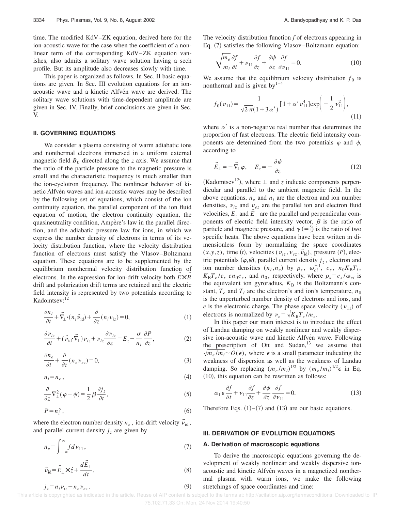time. The modified KdV–ZK equation, derived here for the ion-acoustic wave for the case when the coefficient of a nonlinear term of the corresponding KdV–ZK equation vanishes, also admits a solitary wave solution having a sech profile. But its amplitude also decreases slowly with time.

This paper is organized as follows. In Sec. II basic equations are given. In Sec. III evolution equations for an ionacoustic wave and a kinetic Alfvén wave are derived. The solitary wave solutions with time-dependent amplitude are given in Sec. IV. Finally, brief conclusions are given in Sec. V.

### **II. GOVERNING EQUATIONS**

We consider a plasma consisting of warm adiabatic ions and nonthermal electrons immersed in a uniform external magnetic field  $B_0$  directed along the *z* axis. We assume that the ratio of the particle pressure to the magnetic pressure is small and the characteristic frequency is much smaller than the ion-cyclotron frequency. The nonlinear behavior of kinetic Alfvén waves and ion-acoustic waves may be described by the following set of equations, which consist of the ion continuity equation, the parallel component of the ion fluid equation of motion, the electron continuity equation, the quasineutrality condition, Ampère's law in the parallel direction, and the adiabatic pressure law for ions, in which we express the number density of electrons in terms of its velocity distribution function, where the velocity distribution function of electrons must satisfy the Vlasov–Boltzmann equation. These equations are to be supplemented by the equilibrium nonthermal velocity distribution function of electrons. In the expression for ion-drift velocity both  $\vec{E} \times \vec{B}$  $\rightarrow$  $\rightarrow$ drift and polarization drift terms are retained and the electric field intensity is represented by two potentials according to Kadomtsev:<sup>12</sup>

$$
\frac{\partial n_i}{\partial t} + \vec{\nabla}_{\perp} \cdot (n_i \vec{\nu}_{\text{id}}) + \frac{\partial}{\partial z} (n_i \nu_{iz}) = 0, \tag{1}
$$

$$
\frac{\partial \nu_{iz}}{\partial t} + (\vec{\nu}_{id} \cdot \vec{\nabla}_{\perp}) \nu_{iz} + \nu_{iz} \frac{\partial \nu_{iz}}{\partial z} = E_z - \frac{\sigma}{n_i} \frac{\partial P}{\partial z},\tag{2}
$$

$$
\frac{\partial n_e}{\partial t} + \frac{\partial}{\partial z} (n_e \nu_{ez}) = 0, \tag{3}
$$

$$
n_i = n_e \,,\tag{4}
$$

$$
\frac{\partial}{\partial z}\nabla_{\perp}^{2}(\varphi - \psi) = \frac{1}{2}\beta \frac{\partial j_{z}}{\partial t},\tag{5}
$$

$$
P = n_i^{\gamma},\tag{6}
$$

where the electron number density  $n_e$ , ion-drift velocity  $\vec{v}_{\text{id}}$ , and parallel current density  $j_z$  are given by

$$
n_e = \int_{-\infty}^{\infty} f d\nu_{11},\tag{7}
$$

$$
\vec{\nu}_{\rm id} = \vec{E}_{\perp} \times \hat{z} + \frac{d\vec{E}_{\perp}}{dt},\tag{8}
$$

 $j_z = n_i v_{iz} - n_e v_{ez}$ . (9)

The velocity distribution function *f* of electrons appearing in Eq. (7) satisfies the following Vlasov–Boltzmann equation:

$$
\sqrt{\frac{m_e}{m_i}\frac{\partial f}{\partial t}} + \nu_{11}\frac{\partial f}{\partial z} + \frac{\partial \psi}{\partial z}\frac{\partial f}{\partial \nu_{11}} = 0.
$$
 (10)

We assume that the equilibrium velocity distribution  $f_0$  is nonthermal and is given by $1-4$ 

$$
f_0(\nu_{11}) = \frac{1}{\sqrt{2\pi}(1+3\alpha')} \Big[ 1 + \alpha' \nu_{11}^4 \Big] \exp\Bigg(-\frac{1}{2}\nu_{11}^2\Bigg),\tag{11}
$$

where  $\alpha'$  is a non-negative real number that determines the proportion of fast electrons. The electric field intensity components are determined from the two potentials  $\varphi$  and  $\psi$ , according to

$$
\vec{E}_{\perp} = -\vec{\nabla}_{\perp} \varphi, \quad E_z = -\frac{\partial \psi}{\partial z} \tag{12}
$$

(Kadomtsev<sup>12</sup>), where  $\perp$  and *z* indicate components perpendicular and parallel to the ambient magnetic field. In the above equations,  $n_e$  and  $n_i$  are the electron and ion number densities,  $v_{iz}$  and  $v_{ez}$  are the parallel ion and electron fluid velocities,  $E_z$  and  $E_{\perp}$  are the parallel and perpendicular components of electric field intensity vector,  $\beta$  is the ratio of particle and magnetic pressure, and  $\gamma$  (=  $\frac{5}{3}$ ) is the ratio of two specific heats. The above equations have been written in dimensionless form by normalizing the space coordinates  $(x, y, z)$ , time (*t*), velocities ( $\nu_{iz}, \nu_{ez}, \vec{\nu}_{id}$ ), pressure (*P*), electric potentials  $(\varphi, \psi)$ , parallel current density  $j_z$ , electron and ion number densities  $(n_i, n_e)$  by  $\rho_s$ ,  $\omega_{ci}^{-1}$ ,  $c_s$ ,  $n_0K_B T_i$ ,  $K_{\rm B}T_e/e$ , *en*<sub>0</sub>*c*<sub>*s*</sub>, and *n*<sub>0</sub>, respectively, where  $\rho_s = c_s/\omega_{ci}$  is the equivalent ion gyroradius,  $K_B$  is the Boltzmann's constant,  $T_e$  and  $T_i$  are the electron's and ion's temperature,  $n_0$ is the unperturbed number density of electrons and ions, and *e* is the electronic charge. The phase space velocity ( $v_{11}$ ) of electrons is normalized by  $v_e = \sqrt{K_B T_e / m_e}$ .

In this paper our main interest is to introduce the effect of Landau damping on weakly nonlinear and weakly dispersive ion-acoustic wave and kinetic Alfvén wave. Following the prescription of Ott and Sudan, $13$  we assume that  $\sqrt{m_e/m_i} \sim O(\epsilon)$ , where  $\epsilon$  is a small parameter indicating the weakness of dispersion as well as the weakness of Landau damping. So replacing  $(m_e/m_i)^{1/2}$  by  $(m_e/m_i)^{1/2} \epsilon$  in Eq.  $(10)$ , this equation can be rewritten as follows:

$$
\alpha_1 \epsilon \frac{\partial f}{\partial t} + \nu_{11} \frac{\partial f}{\partial z} + \frac{\partial \psi}{\partial z} \frac{\partial f}{\partial \nu_{11}} = 0.
$$
 (13)

Therefore Eqs.  $(1)$ – $(7)$  and  $(13)$  are our basic equations.

## **III. DERIVATION OF EVOLUTION EQUATIONS**

#### **A. Derivation of macroscopic equations**

To derive the macroscopic equations governing the development of weakly nonlinear and weakly dispersive ionacoustic and kinetic Alfvén waves in a magnetized nonthermal plasma with warm ions, we make the following stretchings of space coordinates and time: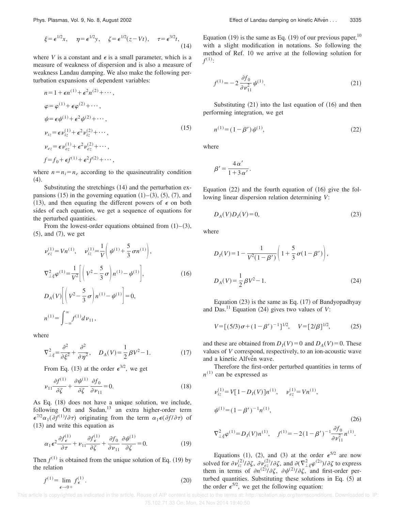$$
\xi = \epsilon^{1/2} x, \quad \eta = \epsilon^{1/2} y, \quad \zeta = \epsilon^{1/2} (z - Vt), \quad \tau = \epsilon^{3/2} t,
$$
\n(14)

where *V* is a constant and  $\epsilon$  is a small parameter, which is a measure of weakness of dispersion and is also a measure of weakness Landau damping. We also make the following perturbation expansions of dependent variables:

$$
n = 1 + \epsilon n^{(1)} + \epsilon^2 n^{(2)} + \cdots,
$$
  
\n
$$
\varphi = \varphi^{(1)} + \epsilon \varphi^{(2)} + \cdots,
$$
  
\n
$$
\psi = \epsilon \psi^{(1)} + \epsilon^2 \psi^{(2)} + \cdots,
$$
  
\n
$$
\nu_{iz} = \epsilon \nu_{iz}^{(1)} + \epsilon^2 \nu_{iz}^{(2)} + \cdots,
$$
  
\n
$$
\nu_{ez} = \epsilon \nu_{ez}^{(1)} + \epsilon^2 \nu_{ez}^{(2)} + \cdots,
$$
  
\n
$$
f = f_0 + \epsilon f^{(1)} + \epsilon^2 f^{(2)} + \cdots,
$$
\n(15)

where  $n = n_i = n_e$  according to the quasineutrality condition  $(4).$ 

Substituting the stretchings  $(14)$  and the perturbation expansions  $(15)$  in the governing equation  $(1)$ – $(3)$ ,  $(5)$ ,  $(7)$ , and (13), and then equating the different powers of  $\epsilon$  on both sides of each equation, we get a sequence of equations for the perturbed quantities.

From the lowest-order equations obtained from  $(1)$ – $(3)$ ,  $(5)$ , and  $(7)$ , we get

$$
\nu_{ez}^{(1)} = Vn^{(1)}, \quad \nu_{iz}^{(1)} = \frac{1}{V} \left( \psi^{(1)} + \frac{5}{3} \sigma n^{(1)} \right),
$$
  
\n
$$
\nabla_{\perp \xi}^{2} \varphi^{(1)} = \frac{1}{V^{2}} \left[ \left( V^{2} - \frac{5}{3} \sigma \right) n^{(1)} - \psi^{(1)} \right],
$$
  
\n
$$
D_{A}(V) \left[ \left( V^{2} - \frac{5}{3} \sigma \right) n^{(1)} - \psi^{(1)} \right] = 0,
$$
  
\n
$$
n^{(1)} = \int_{-\infty}^{\infty} f^{(1)} d \nu_{11},
$$
\n(16)

where

$$
\nabla_{\perp \xi}^2 = \frac{\partial^2}{\partial \xi^2} + \frac{\partial^2}{\partial \eta^2}, \quad D_A(V) = \frac{1}{2} \beta V^2 - 1. \tag{17}
$$

From Eq. (13) at the order  $\epsilon^{3/2}$ , we get

$$
\nu_{11} \frac{\partial f^{(1)}}{\partial \zeta} + \frac{\partial \psi^{(1)}}{\partial \zeta} \frac{\partial f_0}{\partial \nu_{11}} = 0.
$$
 (18)

As Eq. (18) does not have a unique solution, we include, following Ott and Sudan, $13$  an extra higher-order term  $\epsilon^{7/2} \alpha_1(\partial f^{(1)}/\partial \tau)$  originating from the term  $\alpha_1 \epsilon(\partial f/\partial \tau)$  of  $(13)$  and write this equation as

$$
\alpha_1 \epsilon^2 \frac{\partial f_{\epsilon}^{(1)}}{\partial \tau} + \nu_{11} \frac{\partial f_{\epsilon}^{(1)}}{\partial \zeta} + \frac{\partial f_0}{\partial \nu_{11}} \frac{\partial \psi^{(1)}}{\partial \zeta} = 0.
$$
 (19)

Then  $f^{(1)}$  is obtained from the unique solution of Eq. (19) by the relation

$$
f^{(1)} = \lim_{\epsilon \to 0+} f^{(1)}_{\epsilon}.
$$
 (20)

Equation  $(19)$  is the same as Eq.  $(19)$  of our previous paper,<sup>10</sup> with a slight modification in notations. So following the method of Ref. 10 we arrive at the following solution for  $f^{(1)}$ :

$$
f^{(1)} = -2 \frac{\partial f_0}{\partial \nu_{11}^2} \psi^{(1)}.
$$
 (21)

Substituting  $(21)$  into the last equation of  $(16)$  and then performing integration, we get

$$
n^{(1)} = (1 - \beta')\psi^{(1)},\tag{22}
$$

where

$$
\beta'=\frac{4\,\alpha'}{1+3\,\alpha'}.
$$

Equation  $(22)$  and the fourth equation of  $(16)$  give the following linear dispersion relation determining *V*:

$$
D_A(V)D_I(V) = 0,\t\t(23)
$$

where

$$
D_I(V) = 1 - \frac{1}{V^2(1 - \beta')} \left( 1 + \frac{5}{3} \sigma(1 - \beta') \right),
$$
  

$$
D_A(V) = \frac{1}{2} \beta V^2 - 1.
$$
 (24)

Equation  $(23)$  is the same as Eq.  $(17)$  of Bandyopadhyay and Das.<sup>11</sup> Equation  $(24)$  gives two values of *V*:

$$
V = [(5/3)\sigma + (1 - \beta')^{-1}]^{1/2}, \quad V = [2/\beta]^{1/2}, \quad (25)
$$

and these are obtained from  $D_I(V) = 0$  and  $D_A(V) = 0$ . These values of *V* correspond, respectively, to an ion-acoustic wave and a kinetic Alfvén wave.

Therefore the first-order perturbed quantities in terms of  $n^{(1)}$  can be expressed as

$$
\nu_{iz}^{(1)} = V[1 - D_I(V)]n^{(1)}, \quad \nu_{ez}^{(1)} = Vn^{(1)},
$$
  
\n
$$
\psi^{(1)} = (1 - \beta')^{-1}n^{(1)},
$$
\n
$$
\nabla_{\perp\xi}^2 \varphi^{(1)} = D_I(V)n^{(1)}, \quad f^{(1)} = -2(1 - \beta')^{-1} \frac{\partial f_0}{\partial \nu_{11}^2} n^{(1)}.
$$
\n(26)

Equations (1), (2), and (3) at the order  $\epsilon^{5/2}$  are now solved for  $\partial \nu_{iz}^{(2)}/\partial \zeta$ ,  $\partial \nu_{ez}^{(2)}/\partial \zeta$ , and  $\partial (\nabla^2_{\perp \xi} \varphi^{(2)})/\partial \zeta$  to express them in terms of  $\partial n^{(2)}/\partial \zeta$ ,  $\partial \psi^{(2)}/\partial \zeta$ , and first-order perturbed quantities. Substituting these solutions in Eq. (5) at the order  $\epsilon^{5/2}$ , we get the following equation: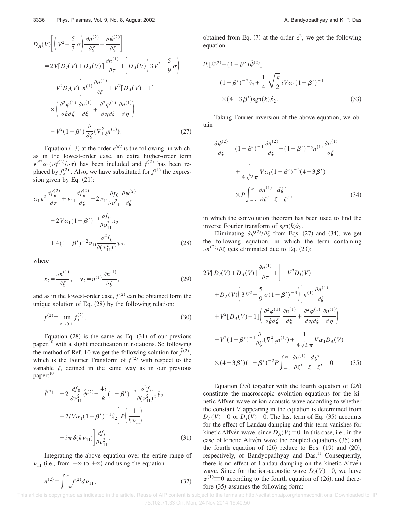$$
D_A(V) \left[ \left( V^2 - \frac{5}{3} \sigma \right) \frac{\partial n^{(2)}}{\partial \zeta} - \frac{\partial \psi^{(2)}}{\partial \zeta} \right]
$$
  
\n
$$
= 2V[D_I(V) + D_A(V)] \frac{\partial n^{(1)}}{\partial \tau} + \left[ D_A(V) \left( 3V^2 - \frac{5}{9} \sigma \right) \right]
$$
  
\n
$$
-V^2 D_I(V) \left] n^{(1)} \frac{\partial n^{(1)}}{\partial \zeta} + V^2 [D_A(V) - 1] \right]
$$
  
\n
$$
\times \left( \frac{\partial^2 \varphi^{(1)}}{\partial \xi \partial \zeta} \frac{\partial n^{(1)}}{\partial \xi} + \frac{\partial^2 \varphi^{(1)}}{\partial \eta \partial \zeta} \frac{\partial n^{(1)}}{\partial \eta} \right)
$$
  
\n
$$
-V^2 (1 - \beta') \frac{\partial}{\partial \zeta} (\nabla^2_{\perp \xi} n^{(1)}).
$$
 (27)

Equation (13) at the order  $\epsilon^{5/2}$  is the following, in which, as in the lowest-order case, an extra higher-order term  $\epsilon^{9/2} \alpha_1(\partial f^{(2)}/\partial \tau)$  has been included and  $f^{(2)}$  has been replaced by  $f_{\epsilon}^{(2)}$ . Also, we have substituted for  $f^{(1)}$  the expression given by Eq.  $(21)$ :

$$
\alpha_1 \epsilon^2 \frac{\partial f_{\epsilon}^{(2)}}{\partial \tau} + \nu_{11} \frac{\partial f_{\epsilon}^{(2)}}{\partial \zeta} + 2 \nu_{11} \frac{\partial f_0}{\partial \nu_{11}^2} \frac{\partial \psi^{(2)}}{\partial \zeta}
$$
  
=  $-2 V \alpha_1 (1 - \beta')^{-1} \frac{\partial f_0}{\partial \nu_{11}^2} x_2$   
 $+ 4 (1 - \beta')^{-2} \nu_{11} \frac{\partial^2 f_0}{\partial (\nu_{11}^2)^2} y_2,$  (28)

where

$$
x_2 = \frac{\partial n^{(1)}}{\partial \zeta}, \quad y_2 = n^{(1)} \frac{\partial n^{(1)}}{\partial \zeta},\tag{29}
$$

and as in the lowest-order case,  $f^{(2)}$  can be obtained form the unique solution of Eq.  $(28)$  by the following relation:

$$
f^{(2)} = \lim_{\epsilon \to 0+} f^{(2)}_{\epsilon}.
$$
 (30)

Equation  $(28)$  is the same as Eq.  $(31)$  of our previous paper, $^{10}$  with a slight modification in notations. So following the method of Ref. 10 we get the following solution for  $\hat{f}^{(2)}$ , which is the Fourier Transform of  $f^{(2)}$  with respect to the variable  $\zeta$ , defined in the same way as in our previous paper:<sup>10</sup>

$$
\hat{f}^{(2)} = -2 \frac{\partial f_0}{\partial \nu_{11}^2} \hat{\psi}^{(2)} - \frac{4i}{k} (1 - \beta')^{-2} \frac{\partial^2 f_0}{\partial (\nu_{11}^2)^2} \hat{y}_2 \n+ 2i V \alpha_1 (1 - \beta')^{-1} \hat{x}_2 \left[ P \left( \frac{1}{k \nu_{11}} \right) \right] \n+ i \pi \delta (k \nu_{11}) \left| \frac{\partial f_0}{\partial \nu_{11}^2} \right].
$$
\n(31)

Integrating the above equation over the entire range of  $\nu_{11}$  (i.e., from  $-\infty$  to  $+\infty$ ) and using the equation

$$
n^{(2)} = \int_{-\infty}^{\infty} f^{(2)} dv_{11},
$$
\n(32)

obtained from Eq. (7) at the order  $\epsilon^2$ , we get the following equation:

$$
ik[\hat{n}^{(2)} - (1 - \beta')\hat{\psi}^{(2)}]
$$
  
=  $(1 - \beta')^{-2}\hat{y}_2 + \frac{1}{4}\sqrt{\frac{\pi}{2}}iV\alpha_1(1 - \beta')^{-1}$   
 $\times (4 - 3\beta')sgn(k)\hat{x}_2.$  (33)

Taking Fourier inversion of the above equation, we obtain

$$
\frac{\partial \psi^{(2)}}{\partial \zeta} = (1 - \beta')^{-1} \frac{\partial n^{(2)}}{\partial \zeta} - (1 - \beta')^{-3} n^{(1)} \frac{\partial n^{(1)}}{\partial \zeta}
$$

$$
+ \frac{1}{4 \sqrt{2\pi}} V \alpha_1 (1 - \beta')^{-2} (4 - 3\beta')
$$

$$
\times P \int_{-\infty}^{\infty} \frac{\partial n^{(1)}}{\partial \zeta'} \frac{d\zeta'}{\zeta - \zeta'}, \qquad (34)
$$

in which the convolution theorem has been used to find the inverse Fourier transform of  $sgn(k)\hat{x}_2$ .

Eliminating  $\partial \psi^{(2)}/\partial \zeta$  from Eqs. (27) and (34), we get the following equation, in which the term containing  $\partial n^{(2)}/\partial \zeta$  gets eliminated due to Eq. (23):

$$
2V[D_I(V) + D_A(V)] \frac{\partial n^{(1)}}{\partial \tau} + \left[ -V^2 D_I(V) \right.
$$
  
+
$$
D_A(V) \left( 3V^2 - \frac{5}{9} \sigma (1 - \beta')^{-3} \right) \Big| n^{(1)} \frac{\partial n^{(1)}}{\partial \zeta}
$$
  
+
$$
V^2 [D_A(V) - 1] \left( \frac{\partial^2 \varphi^{(1)}}{\partial \xi \partial \zeta} \frac{\partial n^{(1)}}{\partial \xi} + \frac{\partial^2 \varphi^{(1)}}{\partial \eta \partial \zeta} \frac{\partial n^{(1)}}{\partial \eta} \right)
$$
  
-
$$
V^2 (1 - \beta')^{-1} \frac{\partial}{\partial \zeta} (\nabla^2_{\perp \xi} n^{(1)}) + \frac{1}{4\sqrt{2\pi}} V \alpha_1 D_A(V)
$$
  

$$
\times (4 - 3\beta') (1 - \beta')^{-2} P \int_{-\infty}^{\infty} \frac{\partial n^{(1)}}{\partial \zeta'} \frac{d\zeta'}{\zeta - \zeta'} = 0.
$$
(35)

Equation  $(35)$  together with the fourth equation of  $(26)$ constitute the macroscopic evolution equations for the kinetic Alfvén wave or ion-acoustic wave according to whether the constant *V* appearing in the equation is determined from  $D_A(V) = 0$  or  $D_I(V) = 0$ . The last term of Eq. (35) accounts for the effect of Landau damping and this term vanishes for kinetic Alfvén wave, since  $D_A(V) = 0$ . In this case, i.e., in the case of kinetic Alfvén wave the coupled equations (35) and the fourth equation of  $(26)$  reduce to Eqs.  $(19)$  and  $(20)$ , respectively, of Bandyopadhyay and Das.<sup>11</sup> Consequently, there is no effect of Landau damping on the kinetic Alfven wave. Since for the ion-acoustic wave  $D_I(V) = 0$ , we have  $\varphi^{(1)} \equiv 0$  according to the fourth equation of (26), and therefore  $(35)$  assumes the following form: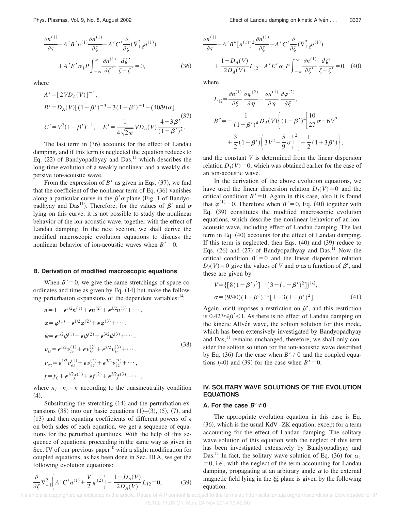$$
\frac{\partial n^{(1)}}{\partial \tau} - A'B' n^{(1)} \frac{\partial n^{(1)}}{\partial \zeta} - A'C' \frac{\partial}{\partial \zeta} (\nabla^2_{\perp \xi} n^{(1)}) + A'E' \alpha_1 P \int_{-\infty}^{\infty} \frac{\partial n^{(1)}}{\partial \zeta'} \frac{d\zeta'}{\zeta - \zeta'} = 0,
$$
 (36)

where

$$
A' = [2VD_A(V)]^{-1},
$$
  
\n
$$
B' = D_A(V)[(1 - \beta')^{-3} - 3(1 - \beta')^{-1} - (40/9)\sigma],
$$
  
\n
$$
C' = V^2(1 - \beta')^{-1}, \quad E' = \frac{1}{4\sqrt{2\pi}}VD_A(V)\frac{4 - 3\beta'}{(1 - \beta')^2}.
$$

The last term in  $(36)$  accounts for the effect of Landau damping, and if this term is neglected the equation reduces to Eq.  $(22)$  of Bandyopadhyay and Das,<sup>11</sup> which describes the long-time evolution of a weakly nonlinear and a weakly dispersive ion-acoustic wave.

From the expression of  $B'$  as given in Eqs.  $(37)$ , we find that the coefficient of the nonlinear term of Eq.  $(36)$  vanishes along a particular curve in the  $\beta' \sigma$  plane (Fig. 1 of Bandyopadhyay and Das<sup>11</sup>). Therefore, for the values of  $\beta'$  and  $\sigma$ lying on this curve, it is not possible to study the nonlinear behavior of the ion-acoustic wave, together with the effect of Landau damping. In the next section, we shall derive the modified macroscopic evolution equations to discuss the nonlinear behavior of ion-acoustic waves when  $B' = 0$ .

#### **B. Derivation of modified macroscopic equations**

When  $B' = 0$ , we give the same stretchings of space coordinates and time as given by Eq.  $(14)$  but make the following perturbation expansions of the dependent variables: $<sup>14</sup>$ </sup>

$$
n = 1 + \epsilon^{1/2} n^{(1)} + \epsilon n^{(2)} + \epsilon^{3/2} n^{(3)} + \cdots,
$$
  
\n
$$
\varphi = \varphi^{(1)} + \epsilon^{1/2} \varphi^{(2)} + \epsilon \varphi^{(3)} + \cdots,
$$
  
\n
$$
\psi = \epsilon^{1/2} \psi^{(1)} + \epsilon \psi^{(2)} + \epsilon^{3/2} \psi^{(3)} + \cdots,
$$
  
\n
$$
\nu_{iz} = \epsilon^{1/2} \nu_{iz}^{(1)} + \epsilon \nu_{iz}^{(2)} + \epsilon^{3/2} \nu_{iz}^{(3)} + \cdots,
$$
  
\n
$$
\nu_{ez} = \epsilon^{1/2} \nu_{ez}^{(1)} + \epsilon \nu_{ez}^{(2)} + \epsilon^{3/2} \nu_{ez}^{(3)} + \cdots,
$$
  
\n
$$
f = f_0 + \epsilon^{1/2} f^{(1)} + \epsilon f^{(2)} + \epsilon^{3/2} f^{(3)} + \cdots,
$$
\n(38)

where  $n_i = n_e = n$  according to the quasineutrality condition  $(4).$ 

Substituting the stretching  $(14)$  and the perturbation expansions  $(38)$  into our basic equations  $(1)$ – $(3)$ ,  $(5)$ ,  $(7)$ , and (13) and then equating coefficients of different powers of  $\epsilon$ on both sides of each equation, we get a sequence of equations for the perturbed quantities. With the help of this sequence of equations, proceeding in the same way as given in Sec. IV of our previous paper<sup>10</sup> with a slight modification for coupled equations, as has been done in Sec. III A, we get the following evolution equations:

$$
\frac{\partial}{\partial \zeta} \nabla_{\perp \xi}^{2} \left( A' C' n^{(1)} + \frac{V}{2} \varphi^{(2)} \right) - \frac{1 + D_{A}(V)}{2D_{A}(V)} L_{12} = 0, \tag{39}
$$

$$
\frac{\partial n^{(1)}}{\partial \tau} - A'B''[n^{(1)}]^{2} \frac{\partial n^{(1)}}{\partial \zeta} - A'C'\frac{\partial}{\partial \zeta}(\nabla^{2}_{\perp\xi}n^{(1)}) + \frac{1 - D_{A}(V)}{2D_{A}(V)} L_{12} + A'E'\alpha_{1}P \int_{-\infty}^{\infty} \frac{\partial n^{(1)}}{\partial \zeta'} \frac{d\zeta'}{\zeta - \zeta'} = 0, \quad (40)
$$

where

$$
L_{12} = \frac{\partial n^{(1)}}{\partial \xi} \frac{\partial \varphi^{(2)}}{\partial \eta} - \frac{\partial n^{(1)}}{\partial \eta} \frac{\partial \varphi^{(2)}}{\partial \xi},
$$
  
\n
$$
B'' = -\frac{1}{(1-\beta')^4} D_A(V) \left\{ (1-\beta')^4 \left[ \frac{10}{27} \sigma - 6V^2 + \frac{3}{2} (1-\beta') \left( 3V^2 - \frac{5}{9} \sigma \right)^2 \right] - \frac{1}{2} (1+3\beta') \right\},
$$

and the constant *V* is determined from the linear dispersion relation  $D_I(V) = 0$ , which was obtained earlier for the case of an ion-acoustic wave.

In the derivation of the above evolution equations, we have used the linear dispersion relation  $D_I(V) = 0$  and the critical condition  $B' = 0$ . Again in this case, also it is found that  $\varphi^{(1)} \equiv 0$ . Therefore when *B'* = 0, Eq. (40) together with Eq. (39) constitutes the modified macroscopic evolution equations, which describe the nonlinear behavior of an ionacoustic wave, including effect of Landau damping. The last term in Eq.  $(40)$  accounts for the effect of Landau damping. If this term is neglected, then Eqs.  $(40)$  and  $(39)$  reduce to Eqs.  $(26)$  and  $(27)$  of Bandyopadhyay and Das.<sup>11</sup> Now the critical condition  $B' = 0$  and the linear dispersion relation  $D_I(V) = 0$  give the values of *V* and  $\sigma$  as a function of  $\beta'$ , and these are given by

$$
V = \{ [8(1 - \beta')^3]^{-1} [3 - (1 - \beta')^2] \}^{1/2},
$$
  
\n
$$
\sigma = (9/40)(1 - \beta')^{-3} [1 - 3(1 - \beta')^2].
$$
\n(41)

Again,  $\sigma \ge 0$  imposes a restriction on  $\beta'$ , and this restriction is  $0.423 \leq \beta'$  < 1. As there is no effect of Landau damping on the kinetic Alfvén wave, the soliton solution for this mode, which has been extensively investigated by Bandyopadhyay and  $Das<sub>1</sub><sup>11</sup>$  remains unchanged, therefore, we shall only consider the soliton solution for the ion-acoustic wave described by Eq. (36) for the case when  $B' \neq 0$  and the coupled equations  $(40)$  and  $(39)$  for the case when  $B' = 0$ .

## **IV. SOLITARY WAVE SOLUTIONS OF THE EVOLUTION EQUATIONS**

#### **A.** For the case  $B' \neq 0$

The appropriate evolution equation in this case is Eq.  $(36)$ , which is the usual KdV–ZK equation, except for a term accounting for the effect of Landau damping. The solitary wave solution of this equation with the neglect of this term has been investigated extensively by Bandyopadhyay and Das.<sup>11</sup> In fact, the solitary wave solution of Eq. (36) for  $\alpha_1$  $=0$ , i.e., with the neglect of the term accounting for Landau damping, propagating at an arbitrary angle  $\alpha$  to the external magnetic field lying in the  $\xi \zeta$  plane is given by the following equation: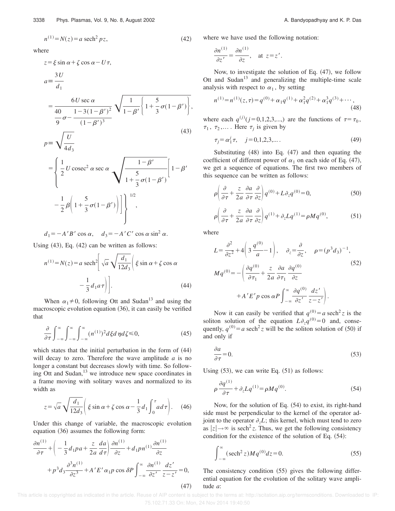where

$$
z = \xi \sin \alpha + \zeta \cos \alpha - U\tau,
$$
  
\n
$$
a = \frac{3U}{d_1}
$$
  
\n
$$
= \frac{6U \sec \alpha}{40 - \frac{1 - 3(1 - \beta')^2}{(1 - \beta')^3}} \sqrt{\frac{1}{1 - \beta'} \left\{ 1 + \frac{5}{3} \sigma (1 - \beta') \right\}},
$$
  
\n
$$
p = \sqrt{\frac{U}{4d_3}}
$$
  
\n
$$
= \left[ \frac{1}{-U \csc^2 \alpha \sec \alpha} \sqrt{\frac{1 - \beta'}{1 - \beta'}} \right] \sqrt{1 - \beta'}
$$

$$
= \left\{ \frac{1}{2} U \csc^2 \alpha \sec \alpha \sqrt{\frac{1-\beta'}{1+\frac{5}{3}\sigma(1-\beta')}} \left[ 1-\beta' \sqrt{\frac{5}{1+\frac{5}{3}\sigma(1-\beta')}} \right] \right\}^{1/2},
$$

 $d_1 = -A'B' \cos \alpha$ ,  $d_3 = -A'C' \cos \alpha \sin^2 \alpha$ .

Using  $(43)$ , Eq.  $(42)$  can be written as follows:

$$
n^{(1)} = N(z) = a \operatorname{sech}^2 \left[ \sqrt{a} \sqrt{\frac{d_1}{12d_3}} \right] \xi \sin \alpha + \zeta \cos \alpha
$$

$$
- \frac{1}{3} d_1 a \tau \bigg] \bigg]. \tag{44}
$$

When  $\alpha_1 \neq 0$ , following Ott and Sudan<sup>13</sup> and using the macroscopic evolution equation  $(36)$ , it can easily be verified that

$$
\frac{\partial}{\partial \tau} \int_{-\infty}^{\infty} \int_{-\infty}^{\infty} \int_{-\infty}^{\infty} (n^{(1)})^2 d\xi d\eta d\zeta \le 0,
$$
\n(45)

which states that the initial perturbation in the form of  $(44)$ will decay to zero. Therefore the wave amplitude *a* is no longer a constant but decreases slowly with time. So following Ott and Sudan, $^{13}$  we introduce new space coordinates in a frame moving with solitary waves and normalized to its width as

$$
z = \sqrt{a} \sqrt{\frac{d_1}{12d_3}} \left( \xi \sin \alpha + \zeta \cos \alpha - \frac{1}{3} d_1 \int_0^{\tau} a d\tau \right). \quad (46)
$$

Under this change of variable, the macroscopic evolution equation  $(36)$  assumes the following form:

$$
\frac{\partial n^{(1)}}{\partial \tau} + \left( -\frac{1}{3} d_1 p a + \frac{z}{2a} \frac{da}{d\tau} \right) \frac{\partial n^{(1)}}{\partial z} + d_1 p n^{(1)} \frac{\partial n^{(1)}}{\partial z} + p^3 d_3 \frac{\partial^3 n^{(1)}}{\partial z^3} + A' E' \alpha_1 p \cos \delta P \int_{-\infty}^{\infty} \frac{\partial n^{(1)}}{\partial z'} \frac{dz'}{z - z'} = 0,
$$
\n(47)

where we have used the following notation:

$$
\frac{\partial n^{(1)}}{\partial z'} = \frac{\partial n^{(1)}}{\partial z}, \quad \text{at } z = z'.
$$

Now, to investigate the solution of Eq.  $(47)$ , we follow Ott and Sudan $13$  and generalizing the multiple-time scale analysis with respect to  $\alpha_1$ , by setting

$$
n^{(1)} = n^{(1)}(z, \tau) = q^{(0)} + \alpha_1 q^{(1)} + \alpha_1^2 q^{(2)} + \alpha_1^3 q^{(3)} + \cdots,
$$
\n(48)

where each  $q^{(j)}(j=0,1,2,3,...)$  are the functions of  $\tau=\tau_0$ ,  $\tau_1$ ,  $\tau_2$ ,.... Here  $\tau_j$  is given by

$$
\tau_j = \alpha_1^j \tau, \quad j = 0, 1, 2, 3, \dots. \tag{49}
$$

Substituting  $(48)$  into Eq.  $(47)$  and then equating the coefficient of different power of  $\alpha_1$  on each side of Eq. (47), we get a sequence of equations. The first two members of this sequence can be written as follows:

$$
\rho \left( \frac{\partial}{\partial \tau} + \frac{z}{2a} \frac{\partial a}{\partial \tau} \frac{\partial}{\partial z} \right) q^{(0)} + L \partial_z q^{(0)} = 0, \tag{50}
$$

$$
\rho \left( \frac{\partial}{\partial \tau} + \frac{z}{2a} \frac{\partial a}{\partial \tau} \frac{\partial}{\partial z} \right) q^{(1)} + \partial_z L q^{(1)} = \rho M q^{(0)},\tag{51}
$$

where

$$
L = \frac{\partial^2}{\partial z^2} + 4\left(3\frac{q^{(0)}}{a} - 1\right), \quad \partial_z = \frac{\partial}{\partial z}, \quad \rho = (p^3 d_3)^{-1},
$$
  

$$
Mq^{(0)} = -\left(\frac{\partial q^{(0)}}{\partial \tau_1} + \frac{z}{2a}\frac{\partial a}{\partial \tau_1}\frac{\partial q^{(0)}}{\partial z} + A'E'p\cos\alpha P\int_{-\infty}^{\infty} \frac{\partial q^{(0)}}{\partial z'}\frac{dz'}{z - z'}\right).
$$

$$
(52)
$$

Now it can easily be verified that  $q^{(0)} = a \text{ sech}^2 z$  is the soliton solution of the equation  $L \partial_z q^{(0)} = 0$  and, consequently,  $q^{(0)} = a \operatorname{sech}^2 z$  will be the soliton solution of (50) if and only if

$$
\frac{\partial a}{\partial \tau} = 0. \tag{53}
$$

Using  $(53)$ , we can write Eq.  $(51)$  as follows:

$$
\rho \frac{\partial q^{(1)}}{\partial \tau} + \partial_z L q^{(1)} = \rho M q^{(0)}.
$$
\n(54)

Now, for the solution of Eq.  $(54)$  to exist, its right-hand side must be perpendicular to the kernel of the operator adjoint to the operator  $\partial_z L$ ; this kernel, which must tend to zero as  $|z| \rightarrow \infty$  is sech<sup>2</sup> z. Thus, we get the following consistency condition for the existence of the solution of Eq.  $(54)$ :

$$
\int_{-\infty}^{\infty} (\operatorname{sech}^{2} z) M q^{(0)} dz = 0.
$$
 (55)

The consistency condition  $(55)$  gives the following differential equation for the evolution of the solitary wave amplitude *a*:

This article is copyrighted as indicated in the article. Reuse of AIP content is subject to the terms at: http://scitation.aip.org/termsconditions. Downloaded to IP: 75.102.71.33 On: Mon, 24 Nov 2014 19:40:50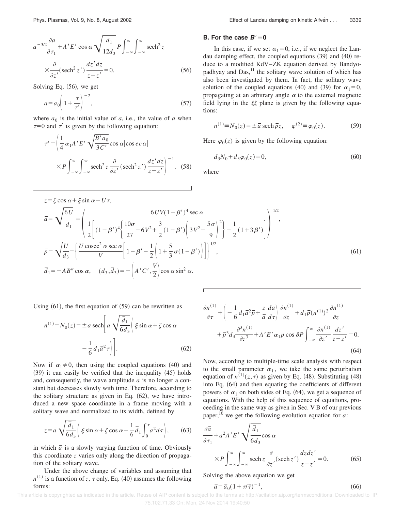$$
a^{-3/2}\frac{\partial a}{\partial \tau_1} + A' E' \cos \alpha \sqrt{\frac{d_1}{12d_3}} P \int_{-\infty}^{\infty} \int_{-\infty}^{\infty} \mathrm{sech}^2 z
$$

$$
\times \frac{\partial}{\partial z'} (\mathrm{sech}^2 z') \frac{dz' dz}{z - z'} = 0.
$$
(56)

Solving Eq.  $(56)$ , we get

$$
a = a_0 \left( 1 + \frac{\tau}{\tau'} \right)^{-2},\tag{57}
$$

where  $a_0$  is the initial value of  $a$ , i.e., the value of  $a$  when  $\tau=0$  and  $\tau'$  is given by the following equation:

$$
\tau' = \left(\frac{1}{4}\alpha_1 A' E'\sqrt{\frac{B'a_0}{3C'}}\cos\alpha|\cos ec\alpha|\right)
$$

$$
\times P \int_{-\infty}^{\infty} \int_{-\infty}^{\infty} \mathrm{sech}^2 z \frac{\partial}{\partial z'}(\mathrm{sech}^2 z') \frac{dz'dz}{z-z'}\right)^{-1} . \quad (58)
$$

 $z = \zeta \cos \alpha + \xi \sin \alpha - U\tau$ ,

#### **B.** For the case  $B'=0$

In this case, if we set  $\alpha_1=0$ , i.e., if we neglect the Landau damping effect, the coupled equations  $(39)$  and  $(40)$  reduce to a modified KdV–ZK equation derived by Bandyopadhyay and  $Das<sub>11</sub><sup>11</sup>$  the solitary wave solution of which has also been investigated by them. In fact, the solitary wave solution of the coupled equations (40) and (39) for  $\alpha_1=0$ , propagating at an arbitrary angle  $\alpha$  to the external magnetic field lying in the  $\xi \zeta$  plane is given by the following equations:

$$
n^{(1)} \equiv N_0(z) = \pm \bar{a} \, \text{sech} \, \bar{p}_z, \quad \varphi^{(2)} \equiv \varphi_0(z). \tag{59}
$$

Here  $\varphi_0(z)$  is given by the following equation:

$$
d_3N_0 + \bar{d}_3\varphi_0(z) = 0,\t(60)
$$

where

$$
\overline{a} = \sqrt{\frac{6U}{\overline{d}_1}} = \left(\frac{6UV(1-\beta')^4 \sec \alpha}{\frac{1}{2}\left[(1-\beta')^4\left(\frac{10\sigma}{27} - 6V^2 + \frac{3}{2}(1-\beta')\left(3V^2 - \frac{5\sigma}{9}\right)^2\right) - \frac{1}{2}(1+3\beta')\right]}\right)^{1/2},
$$
\n
$$
\overline{p} = \sqrt{\frac{U}{d_3}} = \left\{\frac{U\csc^2 \alpha \sec \alpha}{V}\left[1 - \beta' - \frac{1}{2}\left(1 + \frac{5}{3}\sigma(1-\beta')\right)\right]\right\}^{1/2},
$$
\n
$$
\overline{d}_1 = -AB'' \cos \alpha, \quad (d_3, \overline{d}_3) = -\left(A'C', \frac{V}{2}\right) \cos \alpha \sin^2 \alpha.
$$
\n(61)

Using  $(61)$ , the first equation of  $(59)$  can be rewritten as

$$
n^{(1)} = N_0(z) = \pm \overline{a} \operatorname{sech} \left[ \overline{a} \sqrt{\frac{\overline{d}_1}{6d_3}} \right] \xi \sin \alpha + \zeta \cos \alpha
$$

$$
- \frac{1}{6} \overline{d}_1 \overline{a}^2 \tau \bigg) \bigg]. \tag{62}
$$

Now if  $\alpha_1 \neq 0$ , then using the coupled equations (40) and  $(39)$  it can easily be verified that the inequality  $(45)$  holds and, consequently, the wave amplitude  $\bar{a}$  is no longer a constant but decreases slowly with time. Therefore, according to the solitary structure as given in Eq.  $(62)$ , we have introduced a new space coordinate in a frame moving with a solitary wave and normalized to its width, defined by

$$
z = \overline{a}\sqrt{\frac{\overline{d}_1}{6d_3}} \left( \xi \sin \alpha + \zeta \cos \alpha - \frac{1}{6} \overline{d}_1 \int_0^{\tau} \overline{a}^2 d\tau \right), \qquad (63)
$$

in which  $\bar{a}$  is a slowly varying function of time. Obviously this coordinate *z* varies only along the direction of propagation of the solitary wave.

Under the above change of variables and assuming that  $n^{(1)}$  is a function of *z*,  $\tau$  only, Eq. (40) assumes the following forms:

$$
\frac{\partial n^{(1)}}{\partial \tau} + \left( -\frac{1}{6} \overline{d}_1 \overline{a}^2 \overline{p} + \frac{z}{\overline{a}} \frac{d\overline{a}}{d\tau} \right) \frac{\partial n^{(1)}}{\partial z} + \overline{d}_1 \overline{p} (n^{(1)})^2 \frac{\partial n^{(1)}}{\partial z} + \overline{p}^3 \overline{d}_3 \frac{\partial^3 n^{(1)}}{\partial z^3} + A' E' \alpha_1 p \cos \delta P \int_{-\infty}^{\infty} \frac{\partial n^{(1)}}{\partial z'} \frac{dz'}{z - z'} = 0.
$$
\n(64)

Now, according to multiple-time scale analysis with respect to the small parameter  $\alpha_1$ , we take the same perturbation equation of  $n^{(1)}(z,\tau)$  as given by Eq. (48). Substituting (48) into Eq. (64) and then equating the coefficients of different powers of  $\alpha_1$  on both sides of Eq. (64), we get a sequence of equations. With the help of this sequence of equations, proceeding in the same way as given in Sec. V B of our previous paper,<sup>10</sup> we get the following evolution equation for  $\bar{a}$ :

$$
\frac{\partial \overline{a}}{\partial \tau_1} + \overline{a}^2 A' E' \sqrt{\frac{\overline{d}_1}{6d_3}} \cos \alpha
$$
  
 
$$
\times P \int_{-\infty}^{\infty} \int_{-\infty}^{\infty} \operatorname{sech} z \frac{\partial}{\partial z'} (\operatorname{sech} z') \frac{dz dz'}{z - z'} = 0.
$$
 (65)

Solving the above equation we get

$$
\overline{a} = \overline{a}_0 (1 + \tau/\overline{\tau})^{-1},\tag{66}
$$